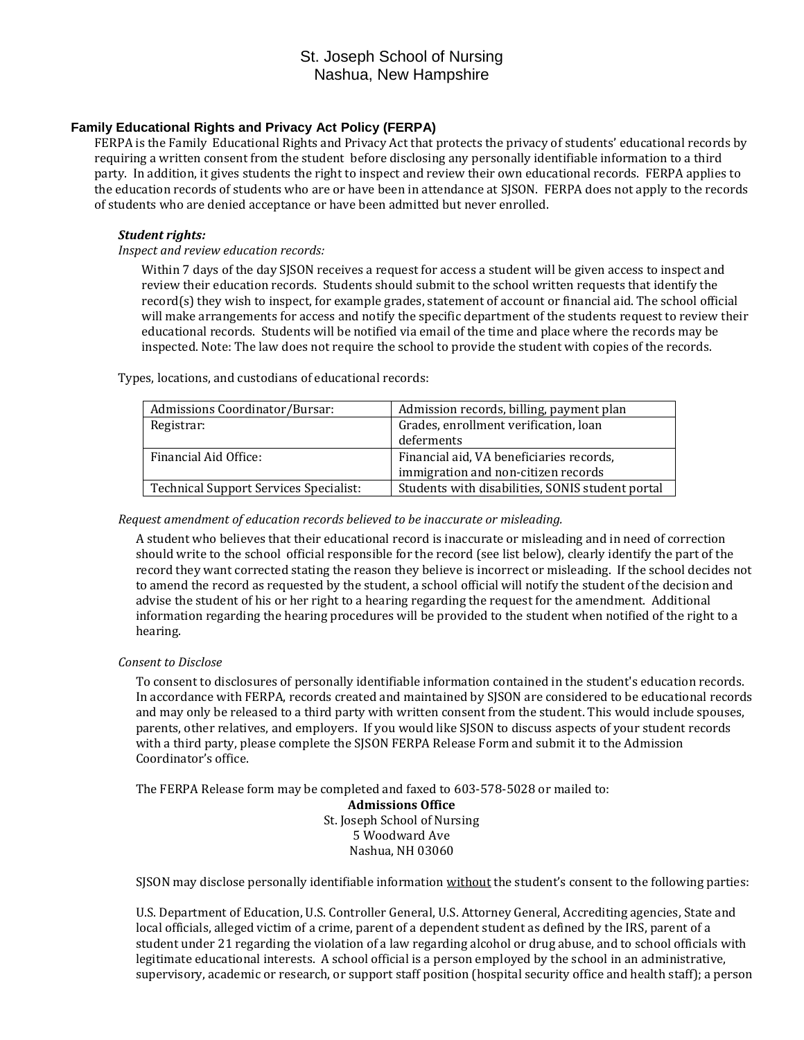# St. Joseph School of Nursing Nashua, New Hampshire

### **Family Educational Rights and Privacy Act Policy (FERPA)**

FERPA is the Family Educational Rights and Privacy Act that protects the privacy of students' educational records by requiring a written consent from the student before disclosing any personally identifiable information to a third party. In addition, it gives students the right to inspect and review their own educational records. FERPA applies to the education records of students who are or have been in attendance at SJSON. FERPA does not apply to the records of students who are denied acceptance or have been admitted but never enrolled.

### *Student rights:*

*Inspect and review education records:*

Within 7 days of the day SJSON receives a request for access a student will be given access to inspect and review their education records. Students should submit to the school written requests that identify the record(s) they wish to inspect, for example grades, statement of account or financial aid. The school official will make arrangements for access and notify the specific department of the students request to review their educational records. Students will be notified via email of the time and place where the records may be inspected. Note: The law does not require the school to provide the student with copies of the records.

Admissions Coordinator/Bursar: | Admission records, billing, payment plan Registrar:  $\vert$  Grades, enrollment verification, loan deferments Financial Aid Office: Financial aid, VA beneficiaries records, immigration and non-citizen records Technical Support Services Specialist: Students with disabilities, SONIS student portal

Types, locations, and custodians of educational records:

#### *Request amendment of education records believed to be inaccurate or misleading.*

A student who believes that their educational record is inaccurate or misleading and in need of correction should write to the school official responsible for the record (see list below), clearly identify the part of the record they want corrected stating the reason they believe is incorrect or misleading. If the school decides not to amend the record as requested by the student, a school official will notify the student of the decision and advise the student of his or her right to a hearing regarding the request for the amendment. Additional information regarding the hearing procedures will be provided to the student when notified of the right to a hearing.

#### *Consent to Disclose*

To consent to disclosures of personally identifiable information contained in the student's education records. In accordance with FERPA, records created and maintained by SJSON are considered to be educational records and may only be released to a third party with written consent from the student. This would include spouses, parents, other relatives, and employers. If you would like SJSON to discuss aspects of your student records with a third party, please complete the SJSON FERPA Release Form and submit it to the Admission Coordinator's office.

The FERPA Release form may be completed and faxed to 603-578-5028 or mailed to:

**Admissions Office** St. Joseph School of Nursing 5 Woodward Ave Nashua, NH 03060

SJSON may disclose personally identifiable information without the student's consent to the following parties:

U.S. Department of Education, U.S. Controller General, U.S. Attorney General, Accrediting agencies, State and local officials, alleged victim of a crime, parent of a dependent student as defined by the IRS, parent of a student under 21 regarding the violation of a law regarding alcohol or drug abuse, and to school officials with legitimate educational interests. A school official is a person employed by the school in an administrative, supervisory, academic or research, or support staff position (hospital security office and health staff); a person